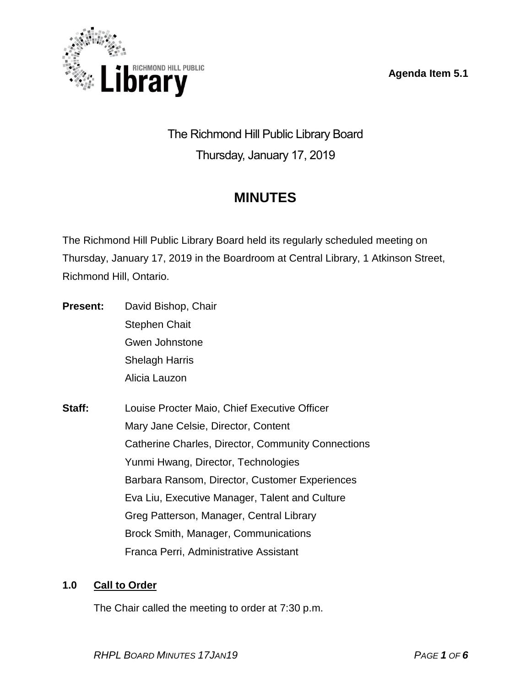**Agenda Item 5.1**



The Richmond Hill Public Library Board Thursday, January 17, 2019

# **MINUTES**

The Richmond Hill Public Library Board held its regularly scheduled meeting on Thursday, January 17, 2019 in the Boardroom at Central Library, 1 Atkinson Street, Richmond Hill, Ontario.

- **Present:** David Bishop, Chair Stephen Chait Gwen Johnstone Shelagh Harris Alicia Lauzon
- **Staff:** Louise Procter Maio, Chief Executive Officer Mary Jane Celsie, Director, Content Catherine Charles, Director, Community Connections Yunmi Hwang, Director, Technologies Barbara Ransom, Director, Customer Experiences Eva Liu, Executive Manager, Talent and Culture Greg Patterson, Manager, Central Library Brock Smith, Manager, Communications Franca Perri, Administrative Assistant

# **1.0 Call to Order**

The Chair called the meeting to order at 7:30 p.m.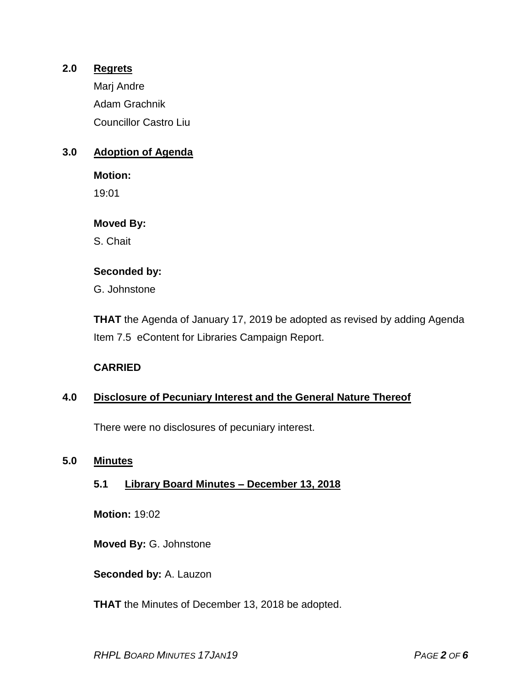# **2.0 Regrets**

Marj Andre Adam Grachnik Councillor Castro Liu

# **3.0 Adoption of Agenda**

**Motion:**  19:01

# **Moved By:**

S. Chait

# **Seconded by:**

G. Johnstone

**THAT** the Agenda of January 17, 2019 be adopted as revised by adding Agenda Item 7.5 eContent for Libraries Campaign Report.

# **CARRIED**

# **4.0 Disclosure of Pecuniary Interest and the General Nature Thereof**

There were no disclosures of pecuniary interest.

# **5.0 Minutes**

# **5.1 Library Board Minutes – December 13, 2018**

**Motion:** 19:02

**Moved By:** G. Johnstone

**Seconded by:** A. Lauzon

**THAT** the Minutes of December 13, 2018 be adopted.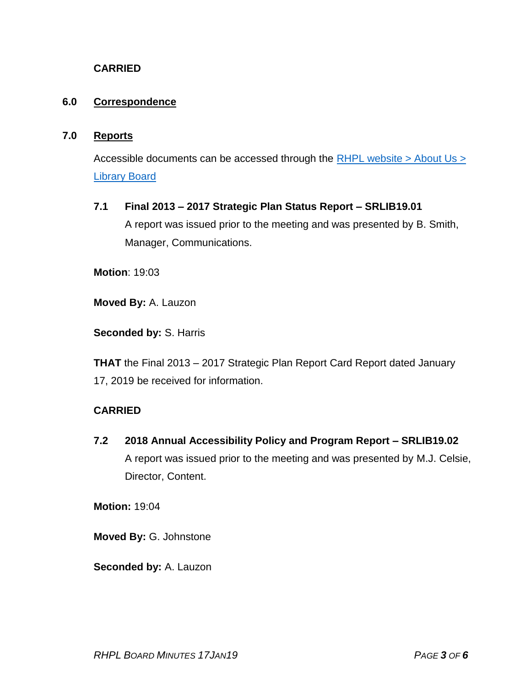# **CARRIED**

# **6.0 Correspondence**

#### **7.0 Reports**

Accessible documents can be accessed through the  $RHPL$  website > About Us > [Library](http://www.rhpl.richmondhill.on.ca/AboutUs/LibraryBoard.cfm) Board

#### **7.1 Final 2013 – 2017 Strategic Plan Status Report – SRLIB19.01**

A report was issued prior to the meeting and was presented by B. Smith, Manager, Communications.

**Motion**: 19:03

**Moved By:** A. Lauzon

**Seconded by:** S. Harris

**THAT** the Final 2013 – 2017 Strategic Plan Report Card Report dated January 17, 2019 be received for information.

# **CARRIED**

**7.2 2018 Annual Accessibility Policy and Program Report – SRLIB19.02** A report was issued prior to the meeting and was presented by M.J. Celsie, Director, Content.

**Motion:** 19:04

**Moved By:** G. Johnstone

**Seconded by:** A. Lauzon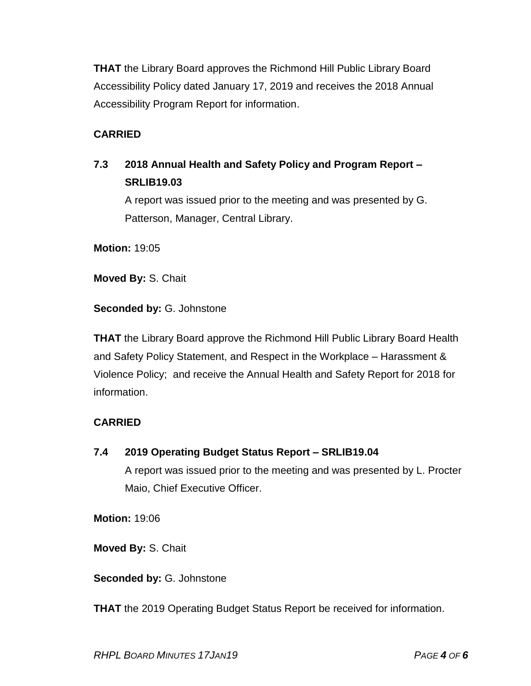**THAT** the Library Board approves the Richmond Hill Public Library Board Accessibility Policy dated January 17, 2019 and receives the 2018 Annual Accessibility Program Report for information.

# **CARRIED**

# **7.3 2018 Annual Health and Safety Policy and Program Report – SRLIB19.03**

A report was issued prior to the meeting and was presented by G. Patterson, Manager, Central Library.

**Motion:** 19:05

**Moved By:** S. Chait

**Seconded by:** G. Johnstone

**THAT** the Library Board approve the Richmond Hill Public Library Board Health and Safety Policy Statement, and Respect in the Workplace – Harassment & Violence Policy; and receive the Annual Health and Safety Report for 2018 for information.

# **CARRIED**

**7.4 2019 Operating Budget Status Report – SRLIB19.04**

A report was issued prior to the meeting and was presented by L. Procter Maio, Chief Executive Officer.

**Motion:** 19:06

**Moved By:** S. Chait

**Seconded by:** G. Johnstone

**THAT** the 2019 Operating Budget Status Report be received for information.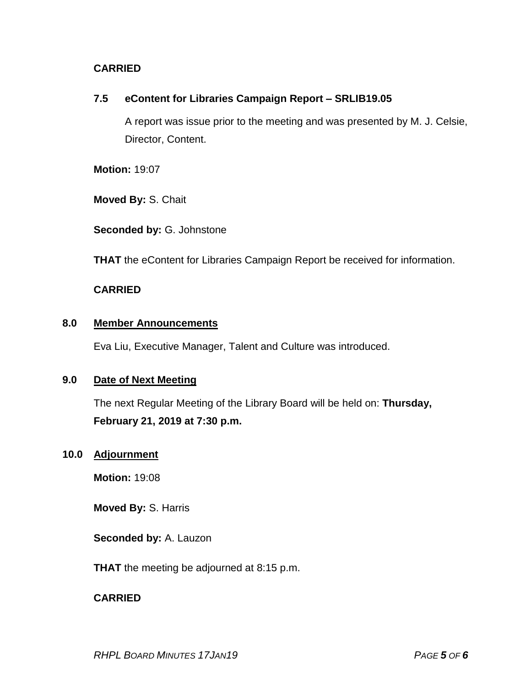# **CARRIED**

# **7.5 eContent for Libraries Campaign Report – SRLIB19.05**

A report was issue prior to the meeting and was presented by M. J. Celsie, Director, Content.

**Motion:** 19:07

**Moved By:** S. Chait

**Seconded by:** G. Johnstone

**THAT** the eContent for Libraries Campaign Report be received for information.

# **CARRIED**

# **8.0 Member Announcements**

Eva Liu, Executive Manager, Talent and Culture was introduced.

# **9.0 Date of Next Meeting**

The next Regular Meeting of the Library Board will be held on: **Thursday, February 21, 2019 at 7:30 p.m.**

# **10.0 Adjournment**

**Motion:** 19:08

**Moved By:** S. Harris

**Seconded by:** A. Lauzon

**THAT** the meeting be adjourned at 8:15 p.m.

# **CARRIED**